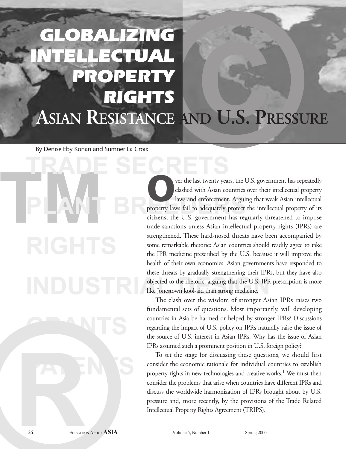# **E**<br>AND U.S. PRESSURE OBALIZING GTUAL ROPERTY RIGHTS **ASIAN RESISTANCE AND U.S. PRESSURE**

By Denise Eby Konan and Sumner La Croix

**™ PLANT BREEDERS** And enforcement. Arguine and enforcement. Arguine protect citizens the U.S. government has req

**TRADE SECRETS** ver the last twenty years, the U.S. government has repeatedly clashed with Asian countries over their intellectual property laws and enforcement. Arguing that weak Asian intellectual clashed with Asian countries over their intellectual property property laws fail to adequately protect the intellectual property of its citizens, the U.S. government has regularly threatened to impose trade sanctions unless Asian intellectual property rights (IPRs) are strengthened. These hard-nosed threats have been accompanied by some remarkable rhetoric: Asian countries should readily agree to take the IPR medicine prescribed by the U.S. because it will improve the health of their own economies. Asian governments have responded to these threats by gradually strengthening their IPRs, but they have also objected to the rhetoric, arguing that the U.S. IPR prescription is more like Jonestown kool-aid than strong medicine.

> The clash over the wisdom of stronger Asian IPRs raises two fundamental sets of questions. Most importantly, will developing countries in Asia be harmed or helped by stronger IPRs? Discussions regarding the impact of U.S. policy on IPRs naturally raise the issue of the source of U.S. interest in Asian IPRs. Why has the issue of Asian IPRs assumed such a prominent position in U.S. foreign policy?

Fundamental sets of questions. Most importate countries in Asia be harmed or helped by stron regarding the impact of U.S. policy on IPRs and the source of U.S. interest in Asian IPRs. Why IPR assumed such a prominer prosim To set the stage for discussing these questions, we should first consider the economic rationale for individual countries to establish property rights in new technologies and creative works.<sup>1</sup> We must then consider the problems that arise when countries have different IPRs and discuss the worldwide harmonization of IPRs brought about by U.S. pressure and, more recently, by the provisions of the Trade Related Intellectual Property Rights Agreement (TRIPS).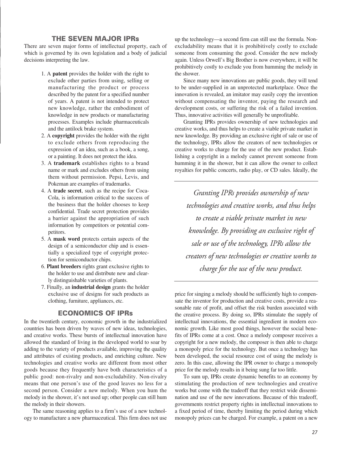## THE SEVEN MAJOR IPRs

There are seven major forms of intellectual property, each of which is governed by its own legislation and a body of judicial decisions interpreting the law.

- 1. A **patent** provides the holder with the right to exclude other parties from using, selling or manufacturing the product or process described by the patent for a specified number of years. A patent is not intended to protect new knowledge, rather the embodiment of knowledge in new products or manufacturing processes. Examples include pharmaceuticals and the antilock brake system.
- 2. A **copyright** provides the holder with the right to exclude others from reproducing the expression of an idea, such as a book, a song, or a painting. It does not protect the idea.
- 3. A **trademark** establishes rights to a brand name or mark and excludes others from using them without permission. Pepsi, Levis, and Pokeman are examples of trademarks.
- 4. A **trade secret**, such as the recipe for Coca-Cola, is information critical to the success of the business that the holder chooses to keep confidential. Trade secret protection provides a barrier against the appropriation of such information by competitors or potential competitors.
- 5. A **mask word** protects certain aspects of the design of a semiconductor chip and is essentially a specialized type of copyright protection for semiconductor chips.
- 6. **Plant breeders** rights grant exclusive rights to the holder to use and distribute new and clearly distinguishable varieties of plants.
- 7. Finally, an **industrial design** grants the holder exclusive use of designs for such products as clothing, furniture, appliances, etc.

## ECONOMICS OF IPRs

In the twentieth century, economic growth in the industrialized countries has been driven by waves of new ideas, technologies, and creative works. These bursts of intellectual innovation have allowed the standard of living in the developed world to soar by adding to the variety of products available, improving the quality and attributes of existing products, and enriching culture. New technologies and creative works are different from most other goods because they frequently have both characteristics of a public good: non-rivalry and non-excludability. Non-rivalry means that one person's use of the good leaves no less for a second person. Consider a new melody. When you hum the melody in the shower, it's not used up; other people can still hum the melody in their showers.

The same reasoning applies to a firm's use of a new technology to manufacture a new pharmaceutical. This firm does not use up the technology—a second firm can still use the formula. Nonexcludability means that it is prohibitively costly to exclude someone from consuming the good. Consider the new melody again. Unless Orwell's Big Brother is now everywhere, it will be prohibitively costly to exclude you from humming the melody in the shower.

Since many new innovations are public goods, they will tend to be under-supplied in an unprotected marketplace. Once the innovation is revealed, an imitator may easily copy the invention without compensating the inventor, paying the research and development costs, or suffering the risk of a failed invention. Thus, innovative activities will generally be unprofitable.

Granting IPRs provides ownership of new technologies and creative works, and thus helps to create a viable private market in new knowledge. By providing an exclusive right of sale or use of the technology, IPRs allow the creators of new technologies or creative works to charge for the use of the new product. Establishing a copyright in a melody cannot prevent someone from humming it in the shower, but it can allow the owner to collect royalties for public concerts, radio play, or CD sales. Ideally, the

*Granting IPRs provides ownership of new technologies and creative works, and thus helps to create a viable private market in new knowledge. By providing an exclusive right of sale or use of the technology, IPRs allow the creators of new technologies or creative works to charge for the use of the new product.* 

price for singing a melody should be sufficiently high to compensate the inventor for production and creative costs, provide a reasonable rate of profit, and offset the risk burden associated with the creative process. By doing so, IPRs stimulate the supply of intellectual innovations, the essential ingredient in modern economic growth. Like most good things, however the social benefits of IPRs come at a cost. Once a melody composer receives a copyright for a new melody, the composer is then able to charge a monopoly price for the technology. But once a technology has been developed, the social resource cost of using the melody is zero. In this case, allowing the IPR owner to charge a monopoly price for the melody results in it being sung far too little.

To sum up, IPRs create dynamic benefits to an economy by stimulating the production of new technologies and creative works but come with the tradeoff that they restrict wide dissemination and use of the new innovations. Because of this tradeoff, governments restrict property rights in intellectual innovations to a fixed period of time, thereby limiting the period during which monopoly prices can be charged. For example, a patent on a new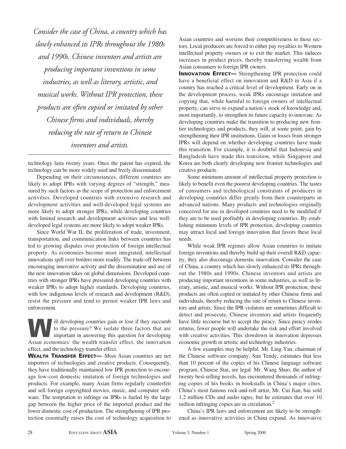*Consider the case of China, a country which has slowly enhanced its IPRs throughout the 1980s and 1990s. Chinese inventors and artists are producing important inventions in some industries, as well as literary, artistic, and musical works. Without IPR protection, these products are often copied or imitated by other Chinese firms and individuals, thereby reducing the rate of return to Chinese inventors and artists.* 

technology lasts twenty years. Once the patent has expired, the technology can be more widely used and freely disseminated.

Depending on their circumstances, different countries are likely to adopt IPRs with varying degrees of "strength," measured by such factors as the scope of protection and enforcement activities. Developed countries with extensive research and development activities and well-developed legal systems are more likely to adopt stronger IPRs, while developing countries with limited research and development activities and less welldeveloped legal systems are more likely to adopt weaker IPRs.

Since World War II, the proliferation of trade, investment, transportation, and communication links between countries has led to growing disputes over protection of foreign intellectual property. As economies become more integrated, intellectual innovations spill over borders more readily. The trade-off between encouraging innovative activity and the dissemination and use of the new innovation takes on global dimensions. Developed countries with stronger IPRs have pressured developing countries with weaker IPRs to adopt higher standards. Developing countries, with low indigenous levels of research and development (R&D), resist the pressure and tend to permit weaker IPR laws and enforcement.

Ill developing countries gain or lose if they succumb<br>to the pressure? We isolate three factors that are<br>important in answering this question for developing to the pressure? We isolate three factors that are important in answering this question for developing Asian economies: the wealth transfer effect, the innovation effect, and the technology transfer effect.

WEALTH TRANSFER EFFECT— Most Asian countries are net importers of technologies and creative products. Consequently, they have traditionally maintained low IPR protection to encourage low-cost domestic imitation of foreign technologies and products. For example, many Asian firms regularly counterfeit and sell foreign copyrighted movies, music, and computer software. The temptation to infringe on IPRs is fueled by the large gap between the higher price of the imported product and the lower domestic cost of production. The strengthening of IPR protection essentially raises the cost of technology acquisition to

Asian countries and worsens their competitiveness in these sectors. Local producers are forced to either pay royalties to Western intellectual property owners or to exit the market. This induces increases in product prices, thereby transferring wealth from Asian consumers to foreign IPR owners.

INNOVATION EFFECT— Strengthening IPR protection could have a beneficial effect on innovation and R&D in Asia if a country has reached a critical level of development. Early on in the development process, weak IPRs encourage imitation and copying that, while harmful to foreign owners of intellectual property, can serve to expand a nation's stock of knowledge and, most importantly, to strengthen its future capacity to innovate. As developing countries make the transition to producing new frontier technologies and products, they will, at some point, gain by strengthening their IPR institutions. Gains or losses from stronger IPRs will depend on whether developing countries have made this transition. For example, it is doubtful that Indonesia and Bangladesh have made this transition, while Singapore and Korea are both clearly developing new frontier technologies and creative products.

Some minimum amount of intellectual property protection is likely to benefit even the poorest developing countries. The tastes of consumers and technological constraints of producers in developing countries differ greatly from their counterparts in advanced nations. Many products and technologies originally conceived for use in developed countries need to be modified if they are to be used profitably in developing countries. By establishing minimum levels of IPR protection, developing countries may attract local and foreign innovation that favors these local needs.

While weak IPR regimes allow Asian countries to imitate foreign inventions and thereby build up their overall R&D capacity, they also discourage domestic innovation. Consider the case of China, a country which has slowly enhanced its IPRs throughout the 1980s and 1990s. Chinese inventors and artists are producing important inventions in some industries, as well as literary, artistic, and musical works. Without IPR protection, these products are often copied or imitated by other Chinese firms and individuals, thereby reducing the rate of return to Chinese inventors and artists. Since the IPR violators are sometimes difficult to detect and prosecute, Chinese inventors and artists frequently have little recourse but to accept the piracy. Since piracy erodes returns, fewer people will undertake the risk and effort involved with creative activities. This slowdown in innovation depresses economic growth in artistic and technology industries.

A few examples may be helpful. Mr. Ling Yan, chairman of the Chinese software company, Sun Tendy, estimates that less than 10 percent of the copies of his Chinese language software program, Chinese Star, are legal. Mr. Wang Shuo, the author of twenty best-selling novels, has encountered thousands of infringing copies of his books in bookstalls in China's major cities. China's most famous rock-and-roll artist, Mr. Cui Jian, has sold 1.2 million CDs and audio tapes, but he estimates that over 10 million infringing copies are in circulation.<sup>2</sup>

China's IPR laws and enforcement are likely to be strengthened as innovative activities in China expand. As innovative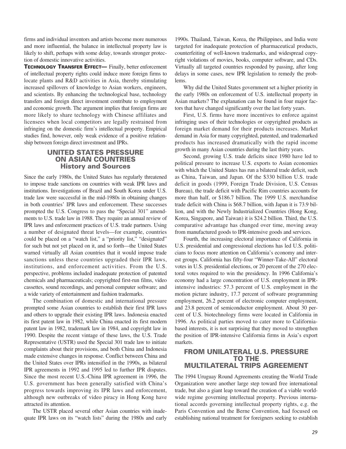firms and individual inventors and artists become more numerous and more influential, the balance in intellectual property law is likely to shift, perhaps with some delay, towards stronger protection of domestic innovative activities.

TECHNOLOGY TRANSFER EFFECT— Finally, better enforcement of intellectual property rights could induce more foreign firms to locate plants and R&D activities in Asia, thereby stimulating increased spillovers of knowledge to Asian workers, engineers, and scientists. By enhancing the technological base, technology transfers and foreign direct investment contribute to employment and economic growth. The argument implies that foreign firms are more likely to share technology with Chinese affiliates and licensees when local competitors are legally restrained from infringing on the domestic firm's intellectual property. Empirical studies find, however, only weak evidence of a positive relationship between foreign direct investment and IPRs.

# UNITED STATES PRESSURE ON ASIAN COUNTRIES History and Sources

Since the early 1980s, the United States has regularly threatened to impose trade sanctions on countries with weak IPR laws and institutions. Investigations of Brazil and South Korea under U.S. trade law were successful in the mid-1980s in obtaining changes in both countries' IPR laws and enforcement. These successes prompted the U.S. Congress to pass the "Special 301" amendments to U.S. trade law in 1988. They require an annual review of IPR laws and enforcement practices of U.S. trade partners. Using a number of designated threat levels—for example, countries could be placed on a "watch list," a "priority list," "designated" for such but not yet placed on it, and so forth—the United States warned virtually all Asian countries that it would impose trade sanctions unless these countries upgraded their IPR laws, institutions, and enforcement activities. From the U.S. perspective, problems included inadequate protection of patented chemicals and pharmaceuticals; copyrighted first-run films, video cassettes, sound recordings, and personal computer software; and a wide variety of entertainment and fashion trademarks.

The combination of domestic and international pressure prompted some Asian countries to establish their first IPR laws and others to upgrade their existing IPR laws. Indonesia enacted its first patent law in 1982, while China enacted its first modern patent law in 1982, trademark law in 1984, and copyright law in 1990. Despite the recent vintage of these laws, the U.S. Trade Representative (USTR) used the Special 301 trade law to initiate complaints about their provisions, and both China and Indonesia made extensive changes in response. Conflict between China and the United States over IPRs intensified in the 1990s, as bilateral IPR agreements in 1992 and 1995 led to further IPR disputes. Since the most recent U.S.-China IPR agreement in 1996, the U.S. government has been generally satisfied with China's progress towards improving its IPR laws and enforcement, although new outbreaks of video piracy in Hong Kong have attracted its attention.

The USTR placed several other Asian countries with inadequate IPR laws on its "watch lists" during the 1980s and early

1990s. Thailand, Taiwan, Korea, the Philippines, and India were targeted for inadequate protection of pharmaceutical products, counterfeiting of well-known trademarks, and widespread copyright violations of movies, books, computer software, and CDs. Virtually all targeted countries responded by passing, after long delays in some cases, new IPR legislation to remedy the problems.

Why did the United States government set a higher priority in the early 1980s on enforcement of U.S. intellectual property in Asian markets? The explanation can be found in four major factors that have changed significantly over the last forty years.

First, U.S. firms have more incentives to enforce against infringing uses of their technologies or copyrighted products as foreign market demand for their products increases. Market demand in Asia for many copyrighted, patented, and trademarked products has increased dramatically with the rapid income growth in many Asian countries during the last thirty years.

Second, growing U.S. trade deficits since 1980 have led to political pressure to increase U.S. exports to Asian economies with which the United States has run a bilateral trade deficit, such as China, Taiwan, and Japan. Of the \$330 billion U.S. trade deficit in goods (1999, Foreign Trade Division, U.S. Census Bureau), the trade deficit with Pacific Rim countries accounts for more than half, or \$186.7 billion. The 1999 U.S. merchandise trade deficit with China is \$68.7 billion, with Japan it is 73.9 billion, and with the Newly Industrialized Countries (Hong Kong, Korea, Singapore, and Taiwan) it is \$24.2 billion. Third, the U.S. comparative advantage has changed over time, moving away from manufactured goods to IPR-intensive goods and services.

Fourth, the increasing electoral importance of California in U.S. presidential and congressional elections has led U.S. politicians to focus more attention on California's economy and interest groups. California has fifty-four "Winner-Take-All" electoral votes in U.S. presidential elections, or 20 percent of the 270 electoral votes required to win the presidency. In 1996 California's economy had a large concentration of U.S. employment in IPRintensive industries: 57.3 percent of U.S. employment in the motion picture industry, 17.7 percent of software programming employment, 26.2 percent of electronic computer employment, and 23.8 percent of semiconductor employment. About 30 percent of U.S. biotechnology firms were located in California in 1996. As political parties moved to cater more to Californiabased interests, it is not surprising that they moved to strengthen the position of IPR-intensive California firms in Asia's export markets.

## FROM UNILATERAL U.S. PRESSURE TO THE MULTILATERAL TRIPS AGREEMENT

The 1994 Uruguay Round Agreements creating the World Trade Organization were another large step toward free international trade, but also a giant leap toward the creation of a viable worldwide regime governing intellectual property. Previous international accords governing intellectual property rights, e.g. the Paris Convention and the Berne Convention, had focused on establishing national treatment for foreigners seeking to establish